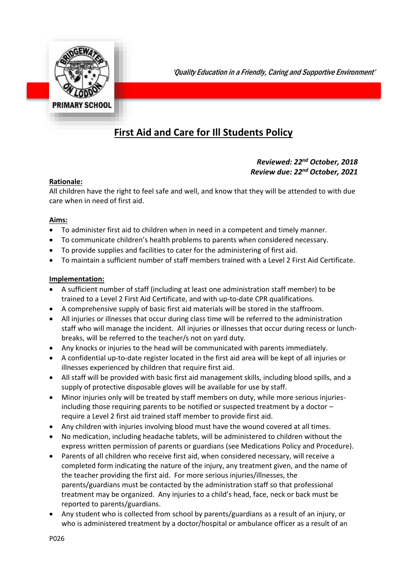

# **First Aid and Care for Ill Students Policy**

# *Reviewed: 22nd October, 2018 Review due: 22nd October, 2021*

## **Rationale:**

All children have the right to feel safe and well, and know that they will be attended to with due care when in need of first aid.

#### **Aims:**

- To administer first aid to children when in need in a competent and timely manner.
- To communicate children's health problems to parents when considered necessary.
- To provide supplies and facilities to cater for the administering of first aid.
- To maintain a sufficient number of staff members trained with a Level 2 First Aid Certificate.

## **Implementation:**

- A sufficient number of staff (including at least one administration staff member) to be trained to a Level 2 First Aid Certificate, and with up-to-date CPR qualifications.
- A comprehensive supply of basic first aid materials will be stored in the staffroom.
- All injuries or illnesses that occur during class time will be referred to the administration staff who will manage the incident. All injuries or illnesses that occur during recess or lunchbreaks, will be referred to the teacher/s not on yard duty.
- Any knocks or injuries to the head will be communicated with parents immediately.
- A confidential up-to-date register located in the first aid area will be kept of all injuries or illnesses experienced by children that require first aid.
- All staff will be provided with basic first aid management skills, including blood spills, and a supply of protective disposable gloves will be available for use by staff.
- Minor injuries only will be treated by staff members on duty, while more serious injuriesincluding those requiring parents to be notified or suspected treatment by a doctor – require a Level 2 first aid trained staff member to provide first aid.
- Any children with injuries involving blood must have the wound covered at all times.
- No medication, including headache tablets, will be administered to children without the express written permission of parents or guardians (see Medications Policy and Procedure).
- Parents of all children who receive first aid, when considered necessary, will receive a completed form indicating the nature of the injury, any treatment given, and the name of the teacher providing the first aid. For more serious injuries/illnesses, the parents/guardians must be contacted by the administration staff so that professional treatment may be organized. Any injuries to a child's head, face, neck or back must be reported to parents/guardians.
- Any student who is collected from school by parents/guardians as a result of an injury, or who is administered treatment by a doctor/hospital or ambulance officer as a result of an